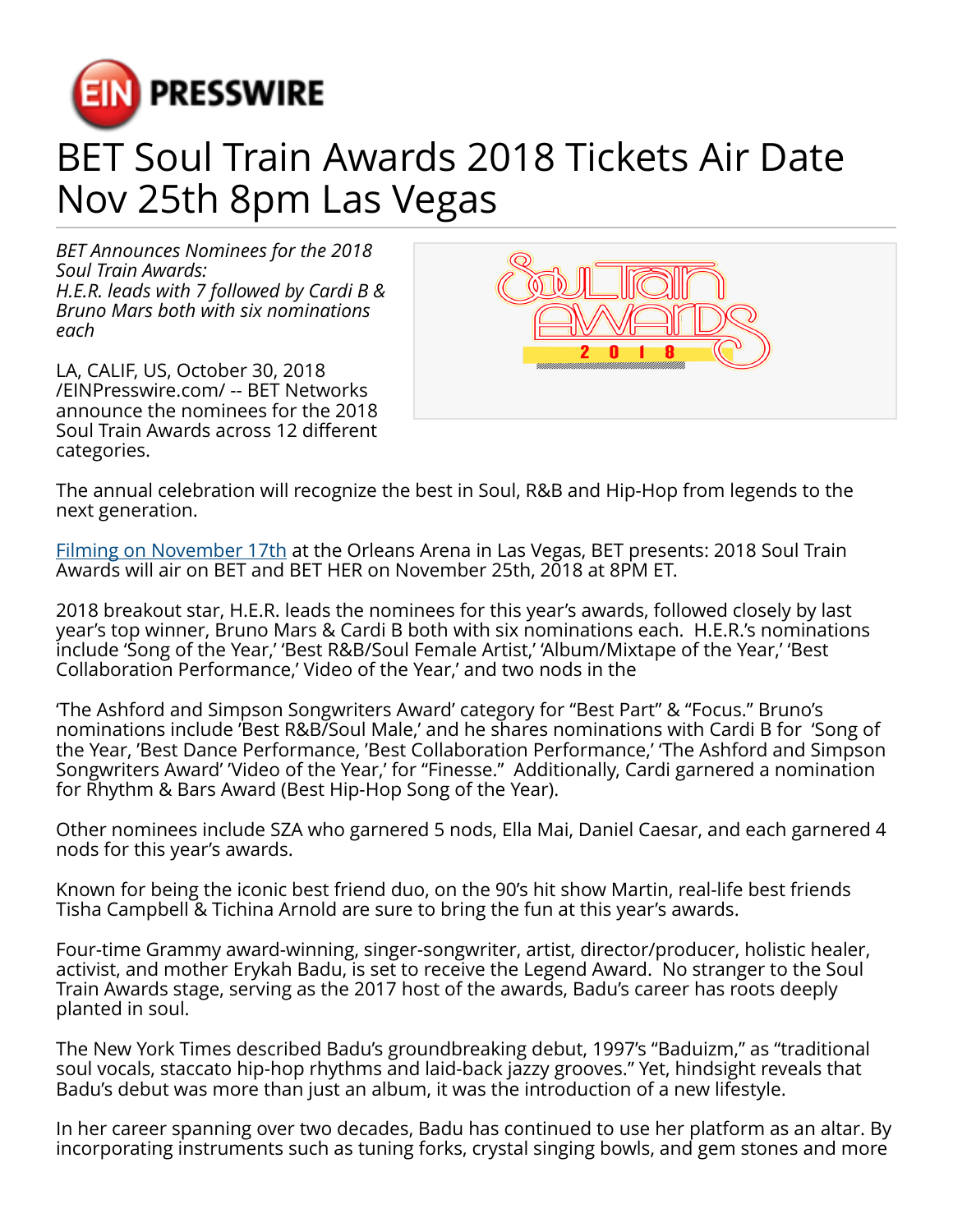

## BET Soul Train Awards 2018 Tickets Air Date Nov 25th 8pm Las Vegas

*BET Announces Nominees for the 2018 Soul Train Awards: H.E.R. leads with 7 followed by Cardi B & Bruno Mars both with six nominations each*

LA, CALIF, US, October 30, 2018 [/EINPresswire.com/](http://www.einpresswire.com) -- BET Networks announce the nominees for the 2018 Soul Train Awards across 12 different categories.



The annual celebration will recognize the best in Soul, R&B and Hip-Hop from legends to the next generation.

[Filming on November 17th](https://prmobilewire.com) at the Orleans Arena in Las Vegas, BET presents: 2018 Soul Train Awards will air on BET and BET HER on November 25th, 2018 at 8PM ET.

2018 breakout star, H.E.R. leads the nominees for this year's awards, followed closely by last year's top winner, Bruno Mars & Cardi B both with six nominations each. H.E.R.'s nominations include 'Song of the Year,' 'Best R&B/Soul Female Artist,' 'Album/Mixtape of the Year,' 'Best Collaboration Performance,' Video of the Year,' and two nods in the

'The Ashford and Simpson Songwriters Award' category for "Best Part" & "Focus." Bruno's nominations include 'Best R&B/Soul Male,' and he shares nominations with Cardi B for 'Song of the Year, 'Best Dance Performance, 'Best Collaboration Performance,' 'The Ashford and Simpson Songwriters Award' 'Video of the Year,' for "Finesse." Additionally, Cardi garnered a nomination for Rhythm & Bars Award (Best Hip-Hop Song of the Year).

Other nominees include SZA who garnered 5 nods, Ella Mai, Daniel Caesar, and each garnered 4 nods for this year's awards.

Known for being the iconic best friend duo, on the 90's hit show Martin, real-life best friends Tisha Campbell & Tichina Arnold are sure to bring the fun at this year's awards.

Four-time Grammy award-winning, singer-songwriter, artist, director/producer, holistic healer, activist, and mother Erykah Badu, is set to receive the Legend Award. No stranger to the Soul Train Awards stage, serving as the 2017 host of the awards, Badu's career has roots deeply planted in soul.

The New York Times described Badu's groundbreaking debut, 1997's "Baduizm," as "traditional soul vocals, staccato hip-hop rhythms and laid-back jazzy grooves." Yet, hindsight reveals that Badu's debut was more than just an album, it was the introduction of a new lifestyle.

In her career spanning over two decades, Badu has continued to use her platform as an altar. By incorporating instruments such as tuning forks, crystal singing bowls, and gem stones and more